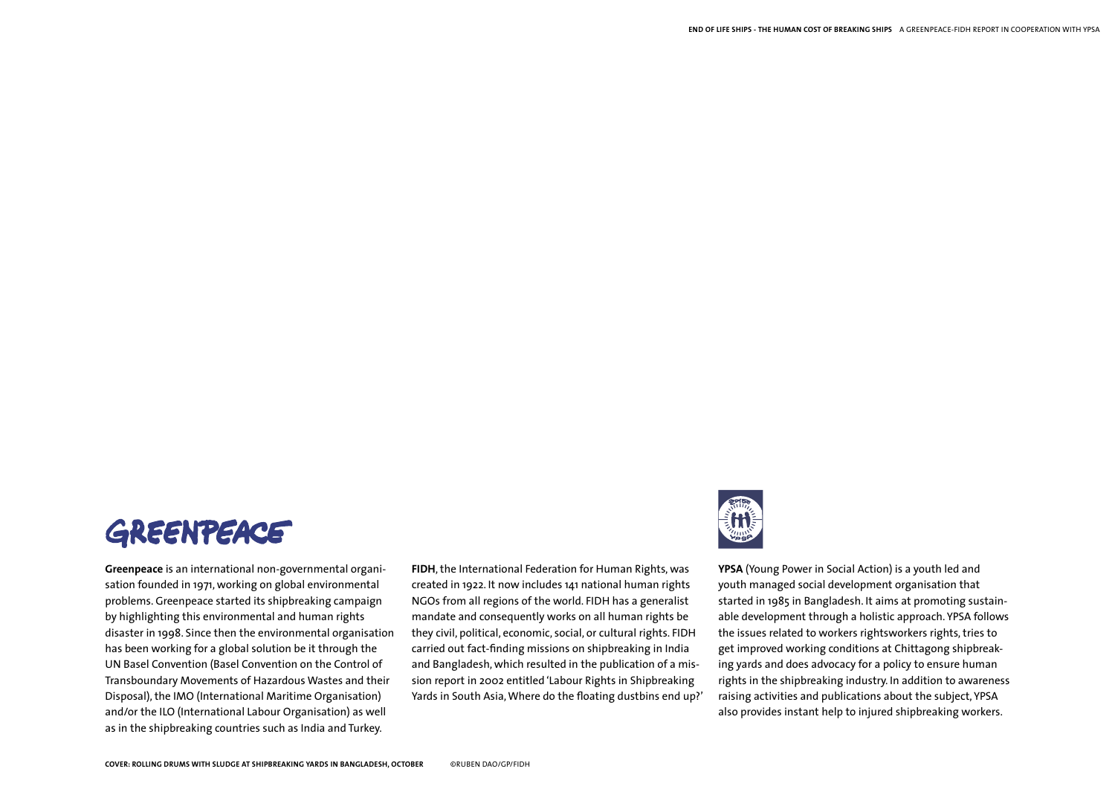

**Greenpeace** is an international non-governmental organisation founded in 1971, working on global environmental problems. Greenpeace started its shipbreaking campaign by highlighting this environmental and human rights disaster in 1998. Since then the environmental organisation has been working for a global solution be it through the UN Basel Convention (Basel Convention on the Control of Transboundary Movements of Hazardous Wastes and their Disposal), the IMO (International Maritime Organisation) and/or the ILO (International Labour Organisation) as well as in the shipbreaking countries such as India and Turkey.

**FIDH**, the International Federation for Human Rights, was created in 1922. It now includes 141 national human rights NGOs from all regions of the world. FIDH has a generalist mandate and consequently works on all human rights be they civil, political, economic, social, or cultural rights. FIDH carried out fact-finding missions on shipbreaking in India and Bangladesh, which resulted in the publication of a mission report in 2002 entitled 'Labour Rights in Shipbreaking Yards in South Asia, Where do the floating dustbins end up?'



**YPSA** (Young Power in Social Action) is a youth led and youth managed social development organisation that started in 1985 in Bangladesh. It aims at promoting sustainable development through a holistic approach. YPSA follows the issues related to workers rightsworkers rights, tries to get improved working conditions at Chittagong shipbreaking yards and does advocacy for a policy to ensure human rights in the shipbreaking industry. In addition to awareness raising activities and publications about the subject, YPSA also provides instant help to injured shipbreaking workers.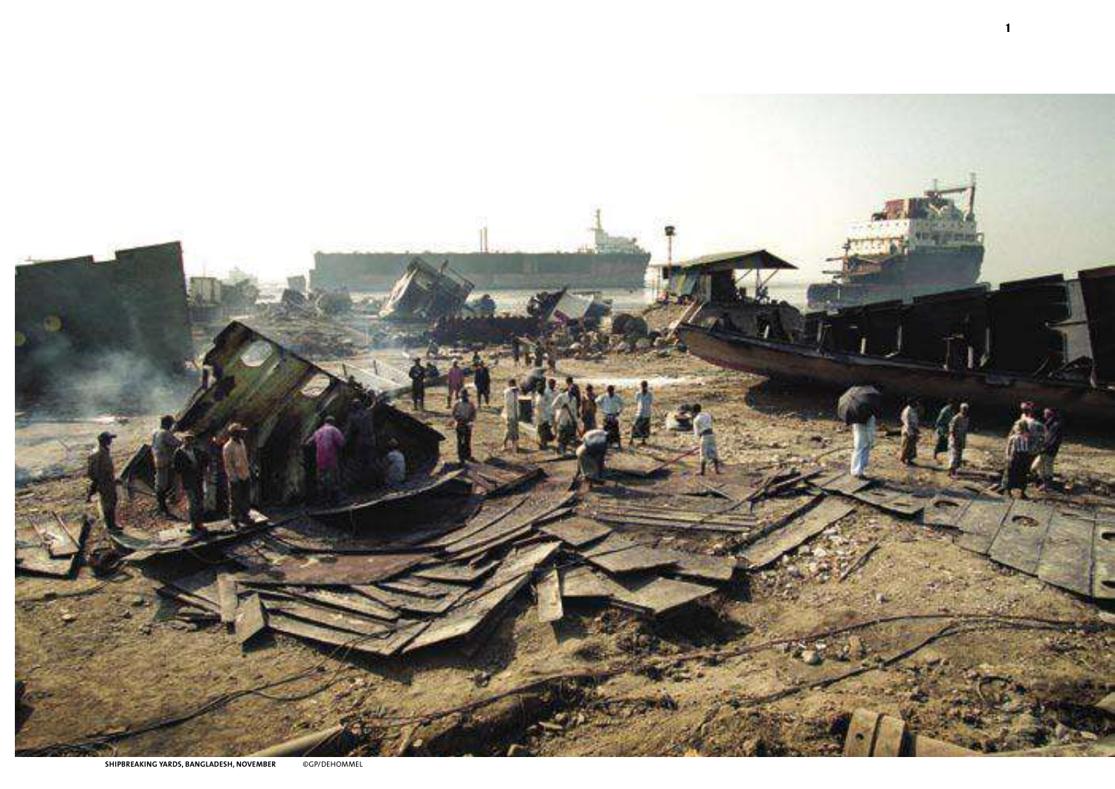

1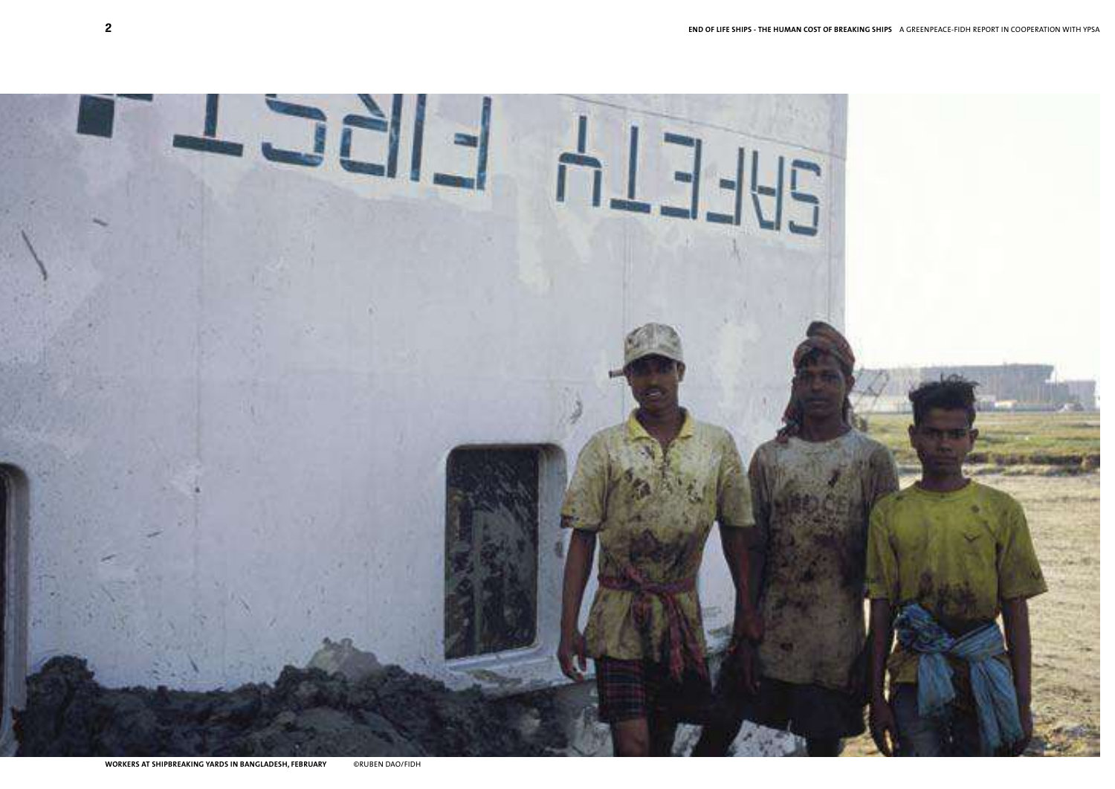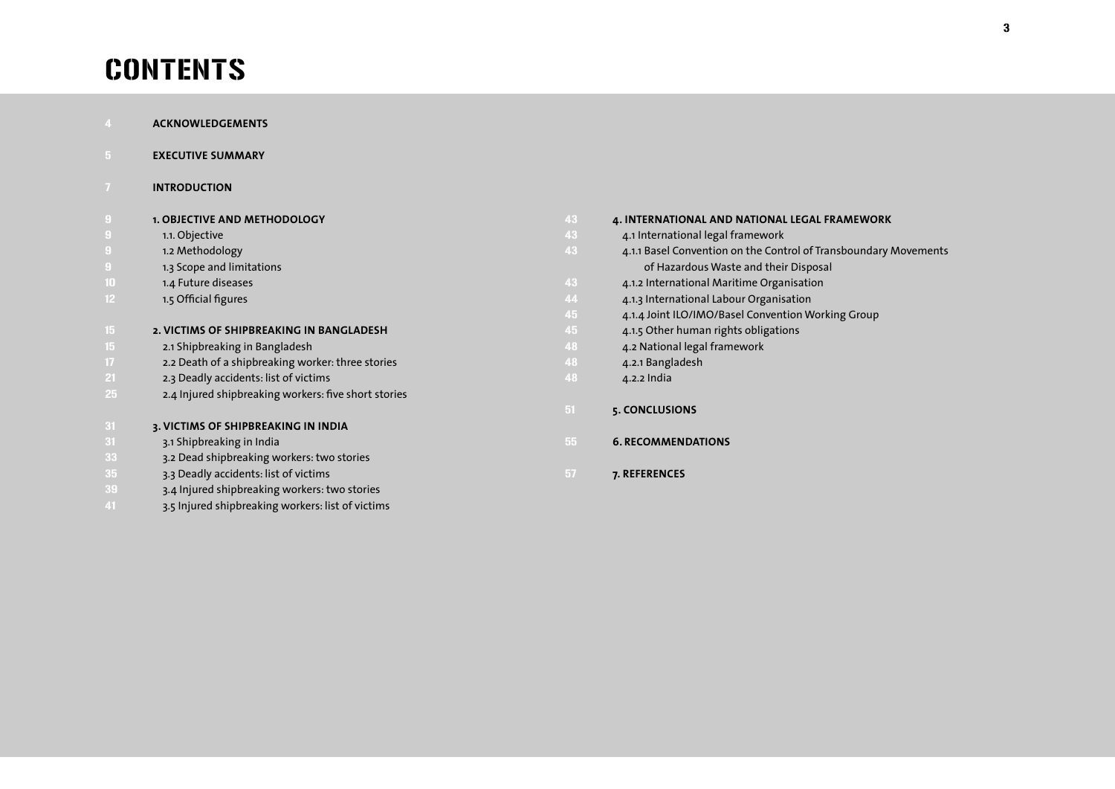# **CONTENTS**

|                  | <b>ACKNOWLEDGEMENTS</b>                              |       |                                                                  |
|------------------|------------------------------------------------------|-------|------------------------------------------------------------------|
|                  | <b>EXECUTIVE SUMMARY</b>                             |       |                                                                  |
|                  | <b>INTRODUCTION</b>                                  |       |                                                                  |
|                  | <b>1. OBJECTIVE AND METHODOLOGY</b>                  | 43    | 4. INTERNATIONAL AND NATIONAL LEGAL FRAMEWORK                    |
|                  | 1.1. Objective                                       | 43    | 4.1 International legal framework                                |
|                  | 1.2 Methodology                                      | 43    | 4.1.1 Basel Convention on the Control of Transboundary Movements |
| 9                | 1.3 Scope and limitations                            |       | of Hazardous Waste and their Disposal                            |
| 10               | 1.4 Future diseases                                  | 43    | 4.1.2 International Maritime Organisation                        |
| 12 <sup>°</sup>  | 1.5 Official figures                                 | 44    | 4.1.3 International Labour Organisation                          |
|                  |                                                      | 45    | 4.1.4 Joint ILO/IMO/Basel Convention Working Group               |
| 15 <sub>15</sub> | 2. VICTIMS OF SHIPBREAKING IN BANGLADESH             | 45    | 4.1.5 Other human rights obligations                             |
| 15               | 2.1 Shipbreaking in Bangladesh                       | 48    | 4.2 National legal framework                                     |
| 17.              | 2.2 Death of a shipbreaking worker: three stories    | 48    | 4.2.1 Bangladesh                                                 |
| 21               | 2.3 Deadly accidents: list of victims                | 48    | 4.2.2 India                                                      |
| 25.              | 2.4 Injured shipbreaking workers: five short stories |       |                                                                  |
|                  |                                                      | $-51$ | 5. CONCLUSIONS                                                   |
| 31               | 3. VICTIMS OF SHIPBREAKING IN INDIA                  |       |                                                                  |
| 31               | 3.1 Shipbreaking in India                            | 55    | <b>6. RECOMMENDATIONS</b>                                        |
| 33               | 3.2 Dead shipbreaking workers: two stories           |       |                                                                  |
| 35.              | 3.3 Deadly accidents: list of victims                | $-57$ | 7. REFERENCES                                                    |
| 39               | 3.4 Injured shipbreaking workers: two stories        |       |                                                                  |
| 41               | 3.5 Injured shipbreaking workers: list of victims    |       |                                                                  |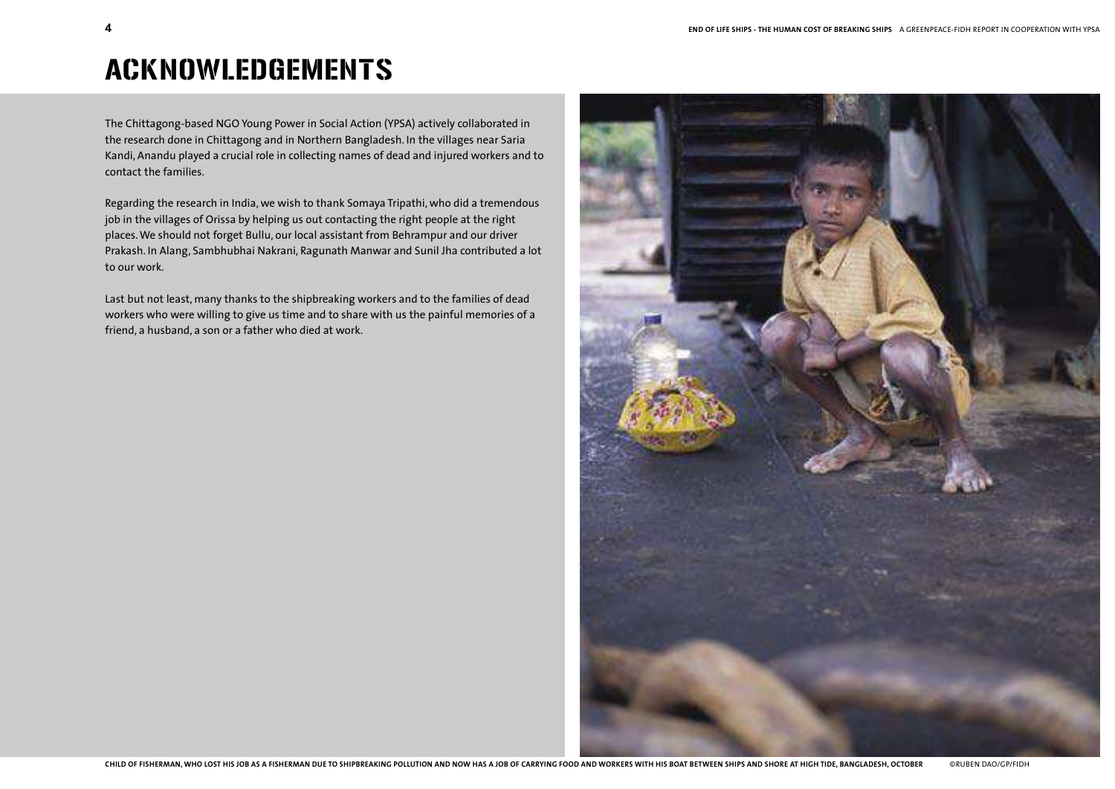## ACKNOWLEDGEMENTS

The Chittagong-based NGO Young Power in Social Action (YPSA) actively collaborated in the research done in Chittagong and in Northern Bangladesh. In the villages near Saria Kandi, Anandu played a crucial role in collecting names of dead and injured workers and to contact the families.

Regarding the research in India, we wish to thank Somaya Tripathi, who did a tremendous job in the villages of Orissa by helping us out contacting the right people at the right places. We should not forget Bullu, our local assistant from Behrampur and our driver Prakash. In Alang, Sambhubhai Nakrani, Ragunath Manwar and Sunil Jha contributed a lot to our work.

Last but not least, many thanks to the shipbreaking workers and to the families of dead workers who were willing to give us time and to share with us the painful memories of a friend, a husband, a son or a father who died at work.

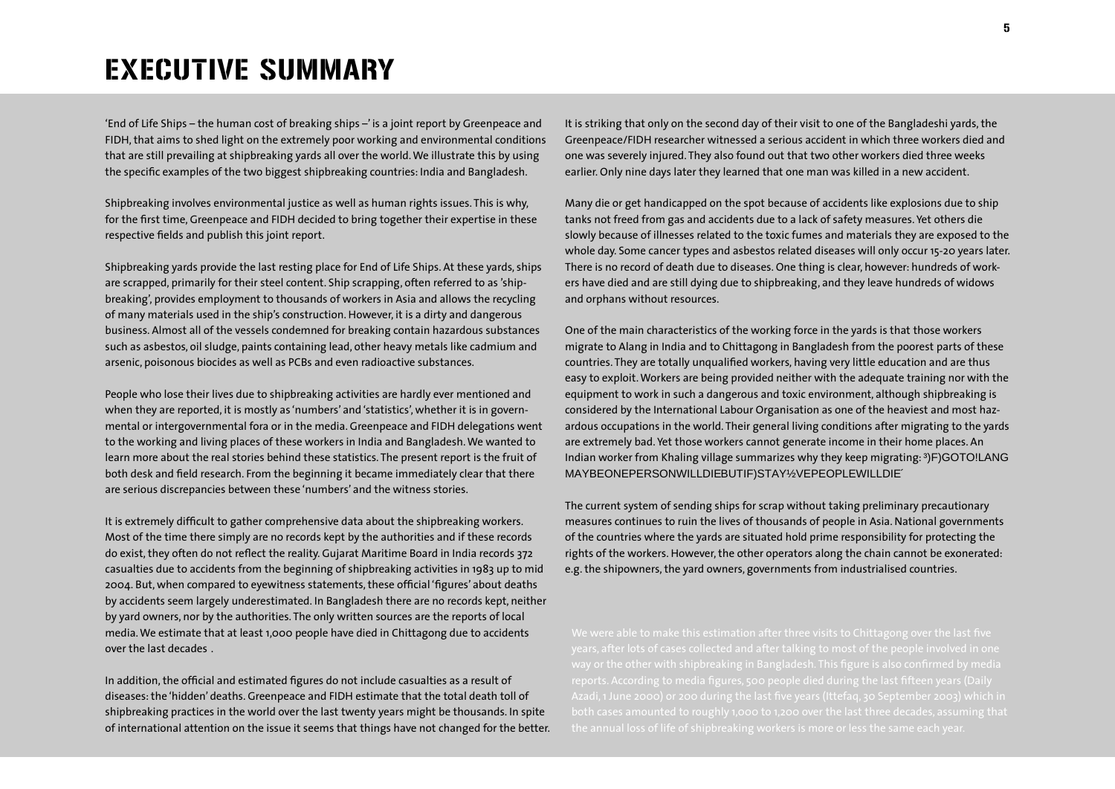# EXECUTIVE SUMMARY

'End of Life Ships – the human cost of breaking ships –' is a joint report by Greenpeace and FIDH, that aims to shed light on the extremely poor working and environmental conditions that are still prevailing at shipbreaking yards all over the world. We illustrate this by using the specific examples of the two biggest shipbreaking countries: India and Bangladesh.

Shipbreaking involves environmental justice as well as human rights issues. This is why, for the first time, Greenpeace and FIDH decided to bring together their expertise in these respective fields and publish this joint report.

Shipbreaking yards provide the last resting place for End of Life Ships. At these yards, ships are scrapped, primarily for their steel content. Ship scrapping, often referred to as 'shipbreaking', provides employment to thousands of workers in Asia and allows the recycling of many materials used in the ship's construction. However, it is a dirty and dangerous business. Almost all of the vessels condemned for breaking contain hazardous substances such as asbestos, oil sludge, paints containing lead, other heavy metals like cadmium and arsenic, poisonous biocides as well as PCBs and even radioactive substances.

People who lose their lives due to shipbreaking activities are hardly ever mentioned and when they are reported, it is mostly as 'numbers' and 'statistics', whether it is in governmental or intergovernmental fora or in the media. Greenpeace and FIDH delegations went to the working and living places of these workers in India and Bangladesh. We wanted to learn more about the real stories behind these statistics. The present report is the fruit of both desk and field research. From the beginning it became immediately clear that there are serious discrepancies between these 'numbers' and the witness stories.

It is extremely difficult to gather comprehensive data about the shipbreaking workers. Most of the time there simply are no records kept by the authorities and if these records do exist, they often do not reflect the reality. Gujarat Maritime Board in India records 372 casualties due to accidents from the beginning of shipbreaking activities in 1983 up to mid 2004. But, when compared to eyewitness statements, these official 'figures' about deaths by accidents seem largely underestimated. In Bangladesh there are no records kept, neither by yard owners, nor by the authorities. The only written sources are the reports of local media. We estimate that at least 1,000 people have died in Chittagong due to accidents over the last decades .

In addition, the official and estimated figures do not include casualties as a result of diseases: the 'hidden' deaths. Greenpeace and FIDH estimate that the total death toll of shipbreaking practices in the world over the last twenty years might be thousands. In spite of international attention on the issue it seems that things have not changed for the better. It is striking that only on the second day of their visit to one of the Bangladeshi yards, the Greenpeace/FIDH researcher witnessed a serious accident in which three workers died and one was severely injured. They also found out that two other workers died three weeks earlier. Only nine days later they learned that one man was killed in a new accident.

Many die or get handicapped on the spot because of accidents like explosions due to ship tanks not freed from gas and accidents due to a lack of safety measures. Yet others die slowly because of illnesses related to the toxic fumes and materials they are exposed to the whole day. Some cancer types and asbestos related diseases will only occur 15-20 years later. There is no record of death due to diseases. One thing is clear, however: hundreds of workers have died and are still dying due to shipbreaking, and they leave hundreds of widows and orphans without resources.

One of the main characteristics of the working force in the yards is that those workers migrate to Alang in India and to Chittagong in Bangladesh from the poorest parts of these countries. They are totally unqualified workers, having very little education and are thus easy to exploit. Workers are being provided neither with the adequate training nor with the equipment to work in such a dangerous and toxic environment, although shipbreaking is considered by the International Labour Organisation as one of the heaviest and most hazardous occupations in the world. Their general living conditions after migrating to the yards are extremely bad. Yet those workers cannot generate income in their home places. An Indian worker from Khaling village summarizes why they keep migrating:  $3$ ) F ) GO TO ! LANG MAYBE ONE PERSON WILL DIE BUT IF ) STAY ½VE PEOPLE WILL D

The current system of sending ships for scrap without taking preliminary precautionary measures continues to ruin the lives of thousands of people in Asia. National governments of the countries where the yards are situated hold prime responsibility for protecting the rights of the workers. However, the other operators along the chain cannot be exonerated: e.g. the shipowners, the yard owners, governments from industrialised countries.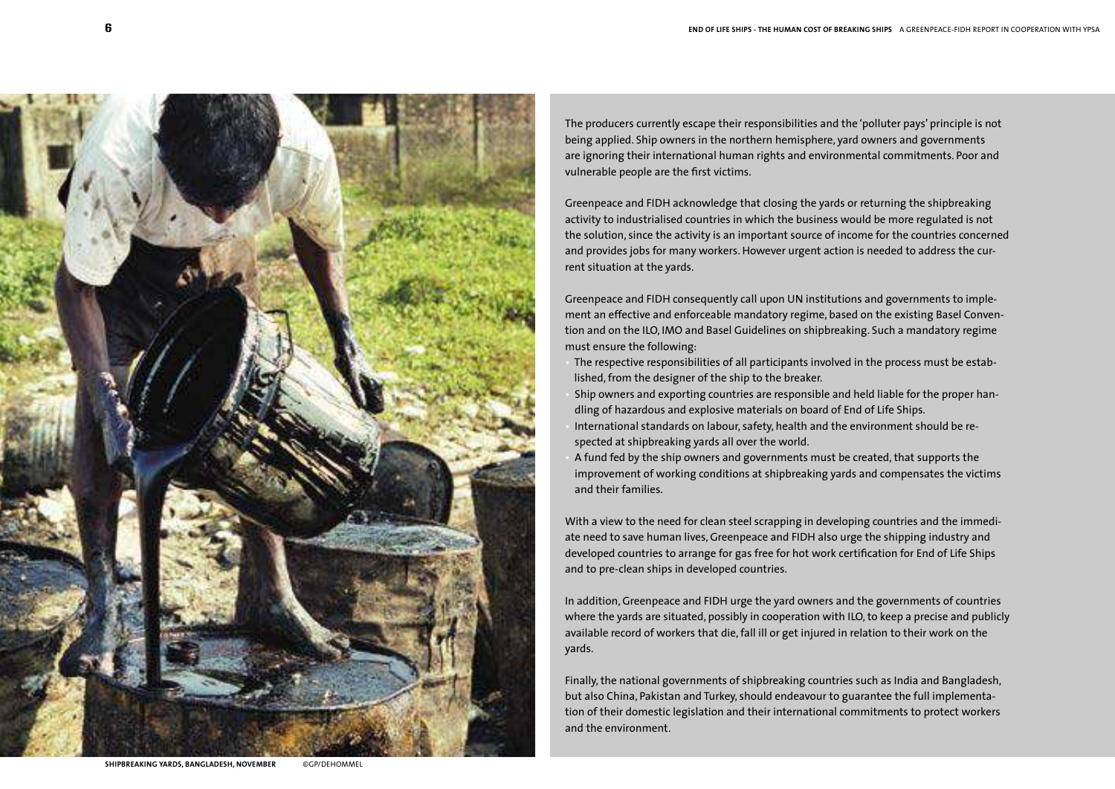

The producers currently escape their responsibilities and the 'polluter pays' principle is not being applied. Ship owners in the northern hemisphere, yard owners and governments are ignoring their international human rights and environmental commitments. Poor and vulnerable people are the first victims.

Greenpeace and FIDH acknowledge that closing the yards or returning the shipbreaking activity to industrialised countries in which the business would be more regulated is not the solution, since the activity is an important source of income for the countries concerned and provides jobs for many workers. However urgent action is needed to address the current situation at the yards.

Greenpeace and FIDH consequently call upon UN institutions and governments to implement an effective and enforceable mandatory regime, based on the existing Basel Convention and on the ILO, IMO and Basel Guidelines on shipbreaking. Such a mandatory regime must ensure the following:

- The respective responsibilities of all participants involved in the process must be established, from the designer of the ship to the breaker.
- Ship owners and exporting countries are responsible and held liable for the proper handling of hazardous and explosive materials on board of End of Life Ships.
- International standards on labour, safety, health and the environment should be respected at shipbreaking yards all over the world.
- A fund fed by the ship owners and governments must be created, that supports the improvement of working conditions at shipbreaking yards and compensates the victims and their families.

With a view to the need for clean steel scrapping in developing countries and the immediate need to save human lives, Greenpeace and FIDH also urge the shipping industry and developed countries to arrange for gas free for hot work certification for End of Life Ships and to pre-clean ships in developed countries.

In addition, Greenpeace and FIDH urge the yard owners and the governments of countries where the yards are situated, possibly in cooperation with ILO, to keep a precise and publicly available record of workers that die, fall ill or get injured in relation to their work on the yards.

Finally, the national governments of shipbreaking countries such as India and Bangladesh, but also China, Pakistan and Turkey, should endeavour to guarantee the full implementation of their domestic legislation and their international commitments to protect workers and the environment.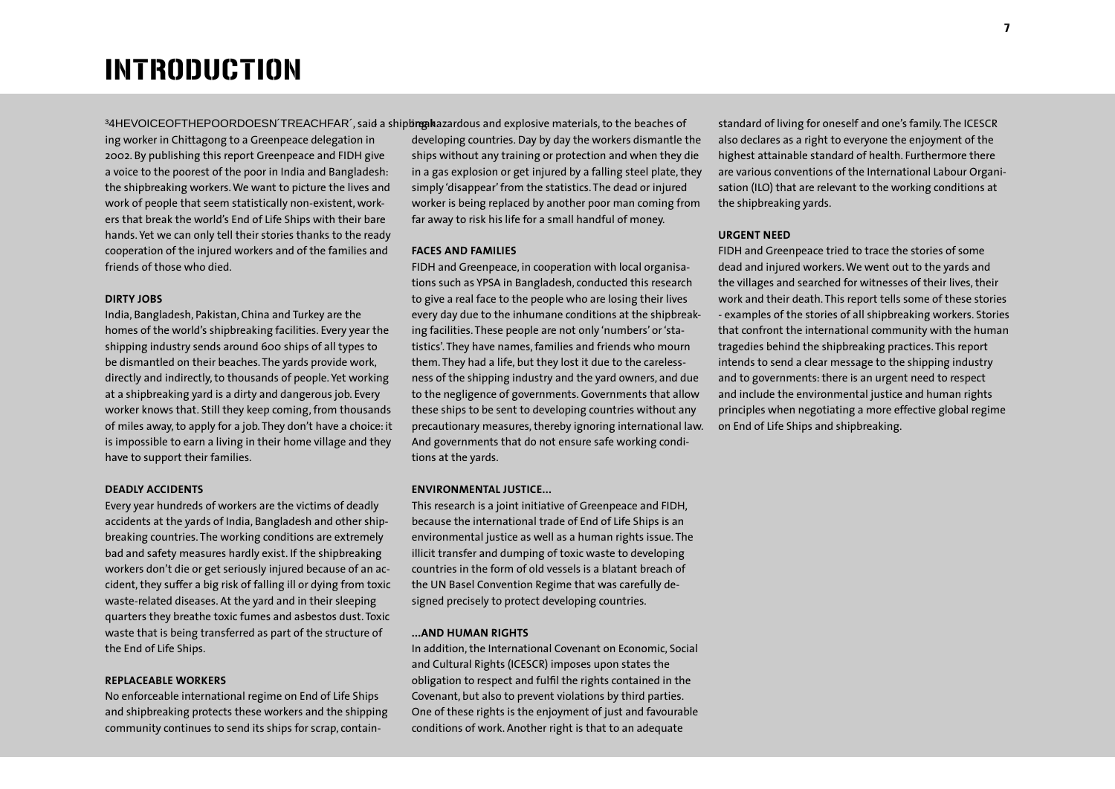## <sup>34HE</sup> VOICE OF THE POOR DOESN'T

ing worker in Chittagong to a Greenpeace delegation in 2002. By publishing this report Greenpeace and FIDH give a voice to the poorest of the poor in India and Bangladesh: the shipbreaking workers. We want to picture the lives and work of people that seem statistically non-existent, workers that break the world's End of Life Ships with their bare hands. Yet we can only tell their stories thanks to the ready cooperation of the injured workers and of the families and friends of those who died.

## **DIRTY JOBS**

India, Bangladesh, Pakistan, China and Turkey are the homes of the world's shipbreaking facilities. Every year the shipping industry sends around 600 ships of all types to be dismantled on their beaches. The yards provide work, directly and indirectly, to thousands of people. Yet working at a shipbreaking yard is a dirty and dangerous job. Every worker knows that. Still they keep coming, from thousands of miles away, to apply for a job. They don't have a choice: it is impossible to earn a living in their home village and they have to support their families.

#### **DEADLY ACCIDENTS**

Every year hundreds of workers are the victims of deadly accidents at the yards of India, Bangladesh and other shipbreaking countries. The working conditions are extremely bad and safety measures hardly exist. If the shipbreaking workers don't die or get seriously injured because of an accident, they suffer a big risk of falling ill or dying from toxic waste-related diseases. At the yard and in their sleeping quarters they breathe toxic fumes and asbestos dust. Toxic waste that is being transferred as part of the structure of the End of Life Ships.

## **REPLACEABLE WORKERS**

No enforceable international regime on End of Life Ships and shipbreaking protects these workers and the shipping community continues to send its ships for scrap, containRifg Ad2drido EisARd explosive iptotentials, to the beaches of developing countries. Day by day the workers dismantle the ships without any training or protection and when they die in a gas explosion or get injured by a falling steel plate, they simply 'disappear' from the statistics. The dead or injured worker is being replaced by another poor man coming from far away to risk his life for a small handful of money.

## **FACES AND FAMILIES**

FIDH and Greenpeace, in cooperation with local organisations such as YPSA in Bangladesh, conducted this research to give a real face to the people who are losing their lives every day due to the inhumane conditions at the shipbreaking facilities. These people are not only 'numbers' or 'statistics'. They have names, families and friends who mourn them. They had a life, but they lost it due to the carelessness of the shipping industry and the yard owners, and due to the negligence of governments. Governments that allow these ships to be sent to developing countries without any precautionary measures, thereby ignoring international law. And governments that do not ensure safe working conditions at the yards.

### **ENVIRONMENTAL JUSTICE...**

This research is a joint initiative of Greenpeace and FIDH, because the international trade of End of Life Ships is an environmental justice as well as a human rights issue. The illicit transfer and dumping of toxic waste to developing countries in the form of old vessels is a blatant breach of the UN Basel Convention Regime that was carefully designed precisely to protect developing countries.

## **...AND HUMAN RIGHTS**

In addition, the International Covenant on Economic, Social and Cultural Rights (ICESCR) imposes upon states the obligation to respect and fulfil the rights contained in the Covenant, but also to prevent violations by third parties. One of these rights is the enjoyment of just and favourable conditions of work. Another right is that to an adequate

standard of living for oneself and one's family. The ICESCR also declares as a right to everyone the enjoyment of the highest attainable standard of health. Furthermore there are various conventions of the International Labour Organisation (ILO) that are relevant to the working conditions at the shipbreaking yards.

## **URGENT NEED**

FIDH and Greenpeace tried to trace the stories of some dead and injured workers. We went out to the yards and the villages and searched for witnesses of their lives, their work and their death. This report tells some of these stories - examples of the stories of all shipbreaking workers. Stories that confront the international community with the human tragedies behind the shipbreaking practices. This report intends to send a clear message to the shipping industry and to governments: there is an urgent need to respect and include the environmental justice and human rights principles when negotiating a more effective global regime on End of Life Ships and shipbreaking.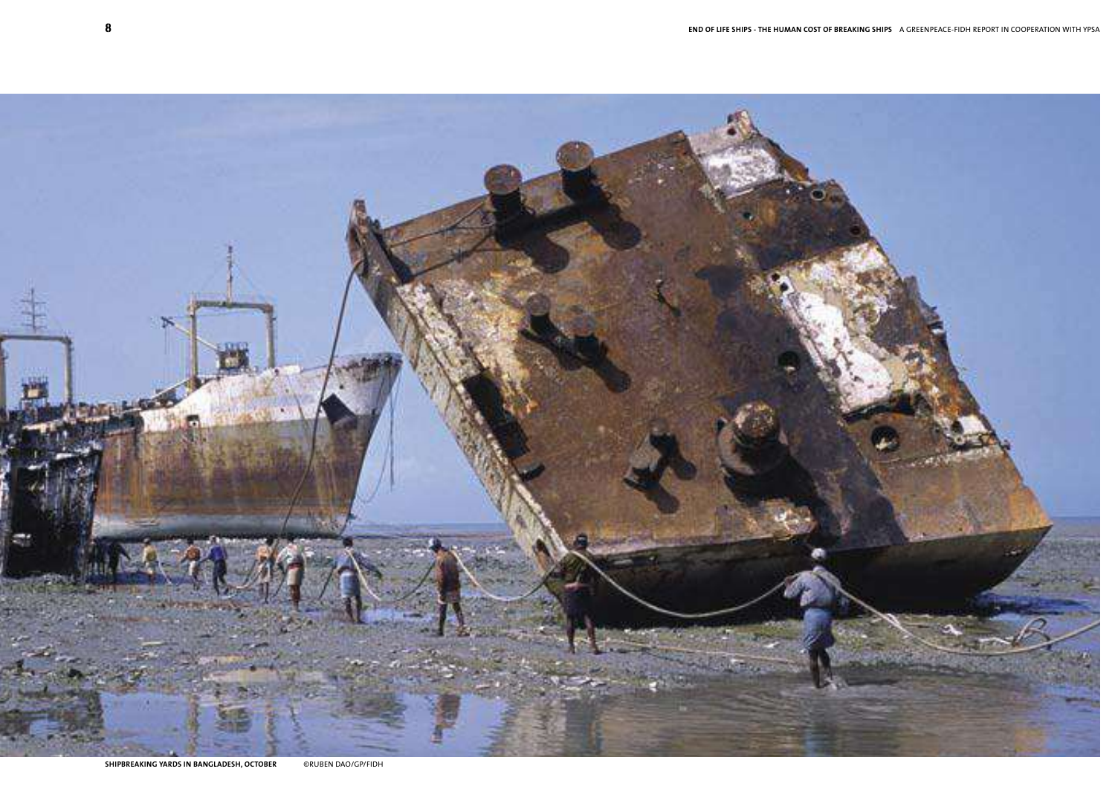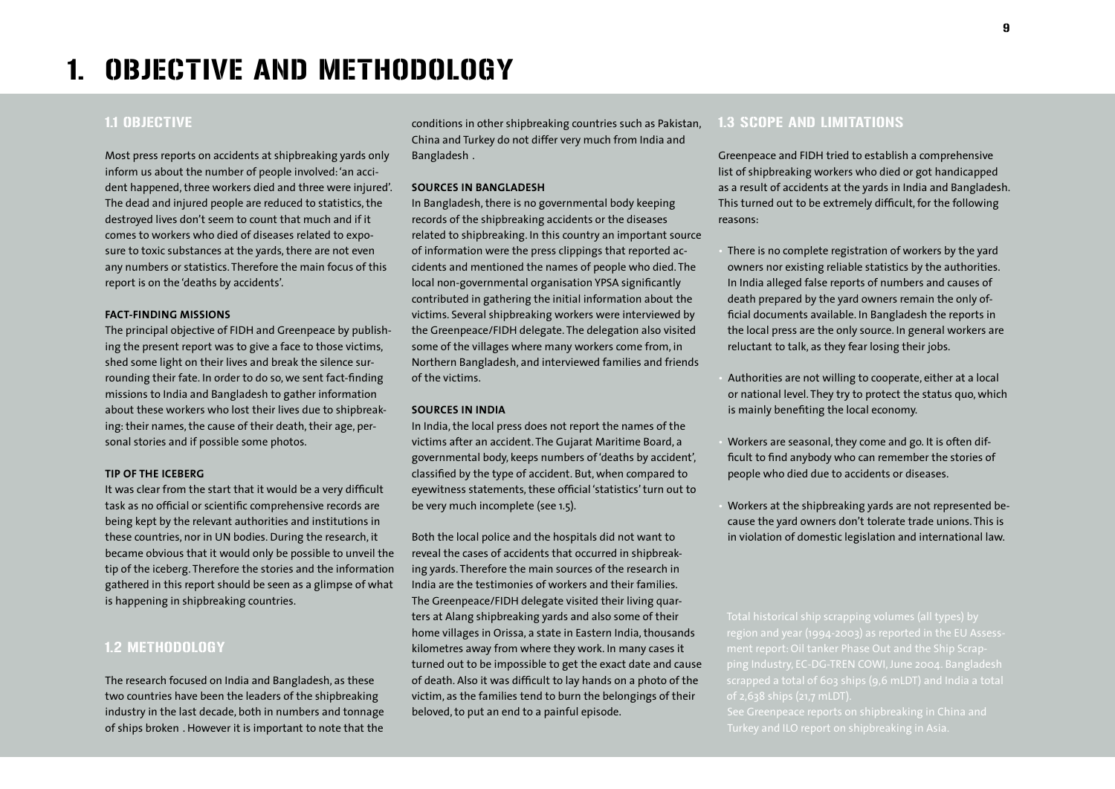## 1.1 OBJECTIVE

Most press reports on accidents at shipbreaking yards only inform us about the number of people involved: 'an accident happened, three workers died and three were injured'. The dead and injured people are reduced to statistics, the destroyed lives don't seem to count that much and if it comes to workers who died of diseases related to exposure to toxic substances at the yards, there are not even any numbers or statistics. Therefore the main focus of this report is on the 'deaths by accidents'.

## **FACT-FINDING MISSIONS**

The principal objective of FIDH and Greenpeace by publishing the present report was to give a face to those victims, shed some light on their lives and break the silence surrounding their fate. In order to do so, we sent fact-finding missions to India and Bangladesh to gather information about these workers who lost their lives due to shipbreaking: their names, the cause of their death, their age, personal stories and if possible some photos.

## **TIP OF THE ICEBERG**

It was clear from the start that it would be a very difficult task as no official or scientific comprehensive records are being kept by the relevant authorities and institutions in these countries, nor in UN bodies. During the research, it became obvious that it would only be possible to unveil the tip of the iceberg. Therefore the stories and the information gathered in this report should be seen as a glimpse of what is happening in shipbreaking countries.

## 1.2 METHODOLOGY

The research focused on India and Bangladesh, as these two countries have been the leaders of the shipbreaking industry in the last decade, both in numbers and tonnage of ships broken. However it is important to note that the conditions in other shipbreaking countries such as Pakistan, China and Turkey do not differ very much from India and Bangladesh .

## **SOURCES IN BANGLADESH**

In Bangladesh, there is no governmental body keeping records of the shipbreaking accidents or the diseases related to shipbreaking. In this country an important source of information were the press clippings that reported accidents and mentioned the names of people who died. The local non-governmental organisation YPSA significantly contributed in gathering the initial information about the victims. Several shipbreaking workers were interviewed by the Greenpeace/FIDH delegate. The delegation also visited some of the villages where many workers come from, in Northern Bangladesh, and interviewed families and friends of the victims.

#### **SOURCES IN INDIA**

In India, the local press does not report the names of the victims after an accident. The Gujarat Maritime Board, a governmental body, keeps numbers of 'deaths by accident', classified by the type of accident. But, when compared to eyewitness statements, these official 'statistics' turn out to be very much incomplete (see 1.5).

Both the local police and the hospitals did not want to reveal the cases of accidents that occurred in shipbreaking yards. Therefore the main sources of the research in India are the testimonies of workers and their families. The Greenpeace/FIDH delegate visited their living quarters at Alang shipbreaking yards and also some of their home villages in Orissa, a state in Eastern India, thousands kilometres away from where they work. In many cases it turned out to be impossible to get the exact date and cause of death. Also it was difficult to lay hands on a photo of the victim, as the families tend to burn the belongings of their beloved, to put an end to a painful episode.

## 1.3 SCOPE AND LIMITATIONS

Greenpeace and FIDH tried to establish a comprehensive list of shipbreaking workers who died or got handicapped as a result of accidents at the yards in India and Bangladesh. This turned out to be extremely difficult, for the following reasons:

There is no complete registration of workers by the yard owners nor existing reliable statistics by the authorities. In India alleged false reports of numbers and causes of death prepared by the yard owners remain the only official documents available. In Bangladesh the reports in the local press are the only source. In general workers are reluctant to talk, as they fear losing their jobs.

• Authorities are not willing to cooperate, either at a local or national level. They try to protect the status quo, which is mainly benefiting the local economy.

• Workers are seasonal, they come and go. It is often difficult to find anybody who can remember the stories of people who died due to accidents or diseases.

• Workers at the shipbreaking yards are not represented because the yard owners don't tolerate trade unions. This is in violation of domestic legislation and international law.

ment report: Oil tanker Phase Out and the Ship Scrapping Industry, EC-DG-TREN COWI, June 2004. Bangladesh of 2,638 ships (21,7 mLDT).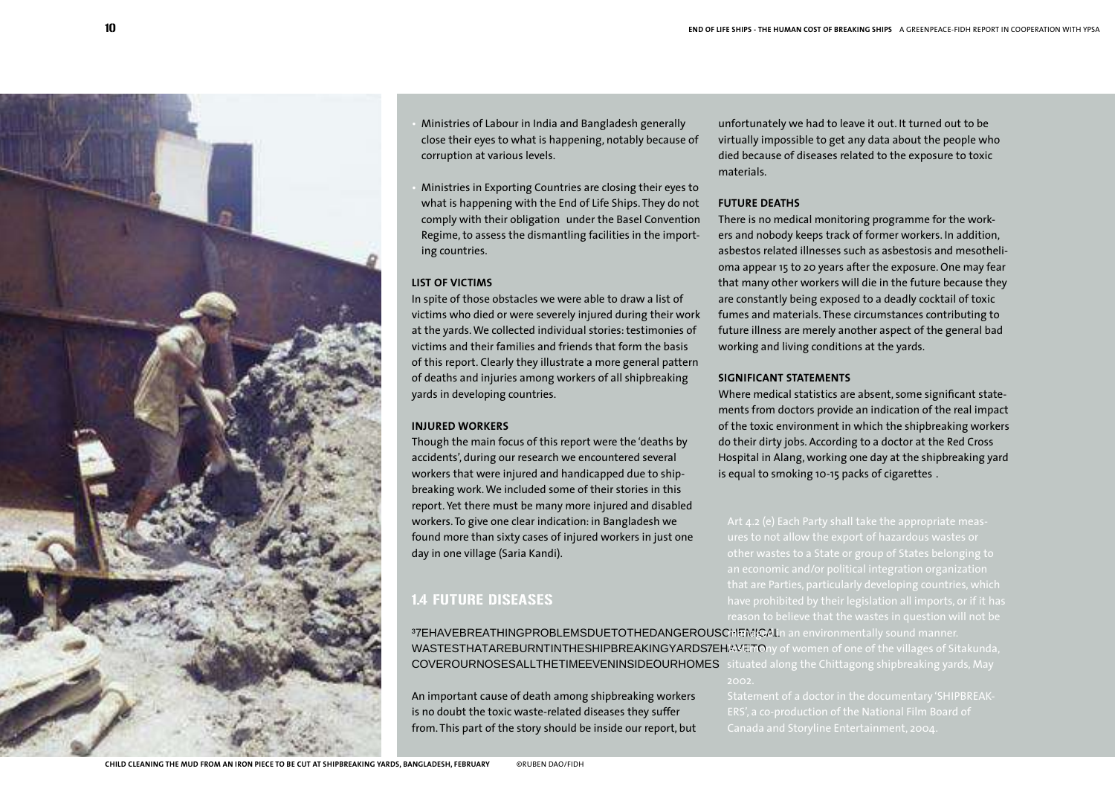

• Ministries of Labour in India and Bangladesh generally close their eyes to what is happening, notably because of corruption at various levels.

• Ministries in Exporting Countries are closing their eyes to what is happening with the End of Life Ships. They do not comply with their obligation under the Basel Convention Regime, to assess the dismantling facilities in the importing countries.

## **LIST OF VICTIMS**

In spite of those obstacles we were able to draw a list of victims who died or were severely injured during their work at the yards. We collected individual stories: testimonies of victims and their families and friends that form the basis of this report. Clearly they illustrate a more general pattern of deaths and injuries among workers of all shipbreaking yards in developing countries.

## **INJURED WORKERS**

Though the main focus of this report were the 'deaths by accidents', during our research we encountered several workers that were injured and handicapped due to shipbreaking work. We included some of their stories in this report. Yet there must be many more injured and disabled workers. To give one clear indication: in Bangladesh we found more than sixty cases of injured workers in just one day in one village (Saria Kandi).

## 1.4 FUTURE DISEASES

unfortunately we had to leave it out. It turned out to be virtually impossible to get any data about the people who died because of diseases related to the exposure to toxic materials.

## **FUTURE DEATHS**

There is no medical monitoring programme for the workers and nobody keeps track of former workers. In addition, asbestos related illnesses such as asbestosis and mesothelioma appear 15 to 20 years after the exposure. One may fear that many other workers will die in the future because they are constantly being exposed to a deadly cocktail of toxic fumes and materials. These circumstances contributing to future illness are merely another aspect of the general bad working and living conditions at the yards.

## **SIGNIFICANT STATEMENTS**

Where medical statistics are absent, some significant statements from doctors provide an indication of the real impact of the toxic environment in which the shipbreaking workers do their dirty jobs. According to a doctor at the Red Cross Hospital in Alang, working one day at the shipbreaking yard is equal to smoking 10-15 packs of cigarettes .

that are Parties, particularly developing countries, which reason to believe that the wastes in question will not be

37E HAVE BREATHING PROBLEMS DUE TO JEHE DANGEROUS CHEMICAL WASTES THAT ARE BURNT IN THE SHIPBREA KIMGeYARDSthe BlageAM StateDda, COVER OUR NOSES ALL THE TIME EVENIALN Soling EncOld Regin Oshi Esteraking yards, May

An important cause of death among shipbreaking workers is no doubt the toxic waste-related diseases they suffer from. This part of the story should be inside our report, but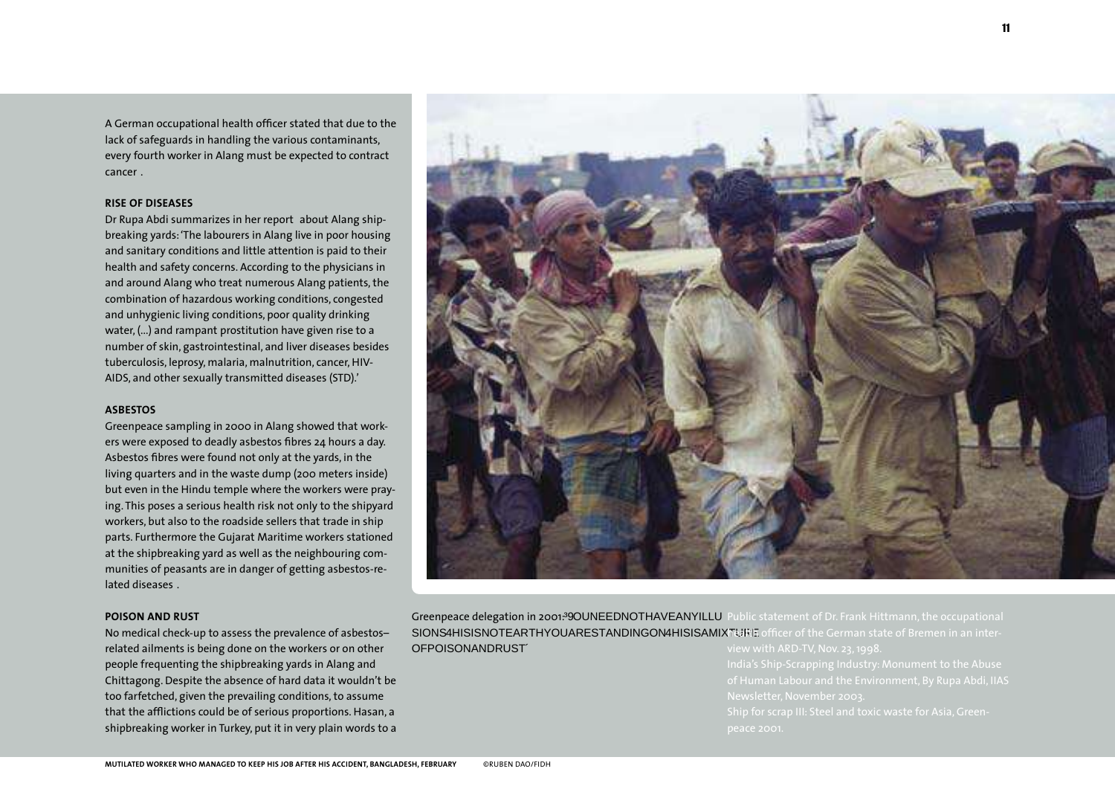A German occupational health officer stated that due to the lack of safeguards in handling the various contaminants, every fourth worker in Alang must be expected to contract cancer .

## **RISE OF DISEASES**

Dr Rupa Abdi summarizes in her report about Alang shipbreaking yards: 'The labourers in Alang live in poor housing and sanitary conditions and little attention is paid to their health and safety concerns. According to the physicians in and around Alang who treat numerous Alang patients, the combination of hazardous working conditions, congested and unhygienic living conditions, poor quality drinking water, (...) and rampant prostitution have given rise to a number of skin, gastrointestinal, and liver diseases besides tuberculosis, leprosy, malaria, malnutrition, cancer, HIV-AIDS, and other sexually transmitted diseases (STD).'

## **ASBESTOS**

Greenpeace sampling in 2000 in Alang showed that workers were exposed to deadly asbestos fibres 24 hours a day. Asbestos fibres were found not only at the yards, in the living quarters and in the waste dump (200 meters inside) but even in the Hindu temple where the workers were praying. This poses a serious health risk not only to the shipyard workers, but also to the roadside sellers that trade in ship parts. Furthermore the Gujarat Maritime workers stationed at the shipbreaking yard as well as the neighbouring communities of peasants are in danger of getting asbestos-related diseases .

#### **POISON AND RUST**

No medical check-up to assess the prevalence of asbestos– related ailments is being done on the workers or on other people frequenting the shipbreaking yards in Alang and Chittagong. Despite the absence of hard data it wouldn't be too farfetched, given the prevailing conditions, to assume that the afflictions could be of serious proportions. Hasan, a shipbreaking worker in Turkey, put it in very plain words to a



Greenpeace delegation in 2001:  $390UNEEDNOTHAM4EickM4nd1bDir.$  Frank Hittmann, the occupational SIONS 4HIS IS NOT EARTH YOU ARE STANDING GION-CHAILS REMAN XTIURE OF POISON AND RUST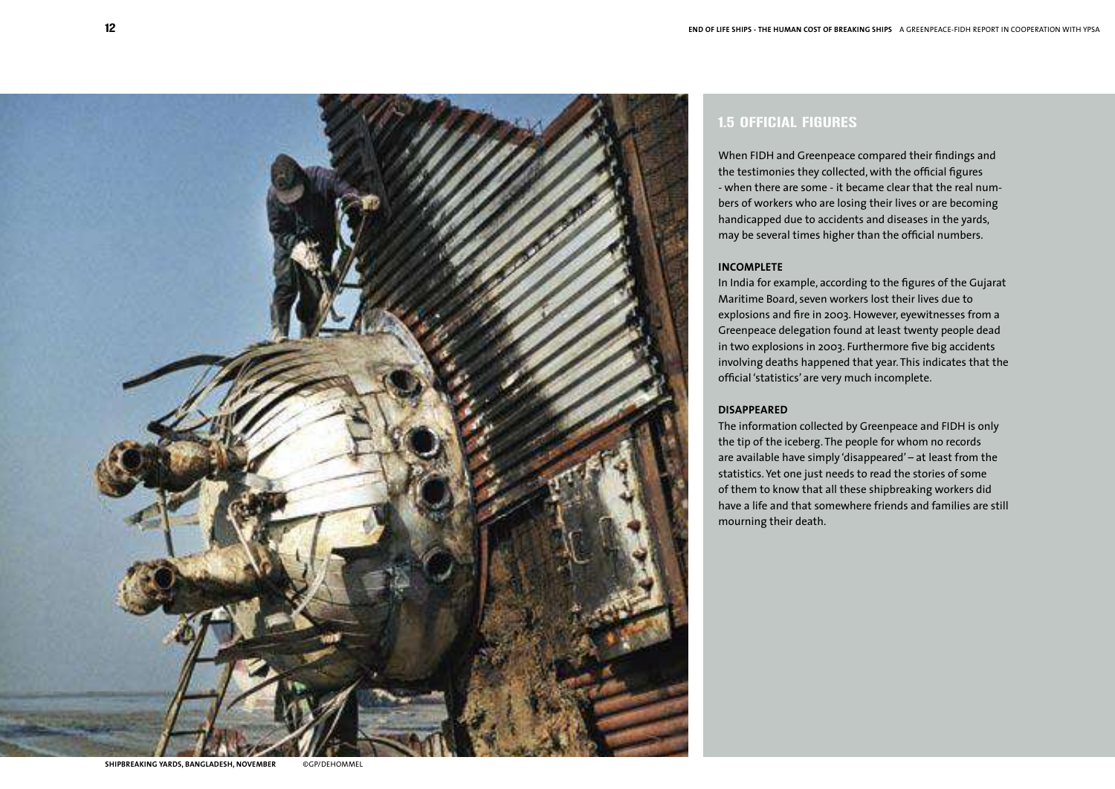

## 1.5 OFFICIAL FIGURES

When FIDH and Greenpeace compared their findings and the testimonies they collected, with the official figures - when there are some - it became clear that the real numbers of workers who are losing their lives or are becoming handicapped due to accidents and diseases in the yards, may be several times higher than the official numbers.

## **INCOMPLETE**

In India for example, according to the figures of the Gujarat Maritime Board, seven workers lost their lives due to explosions and fire in 2003. However, eyewitnesses from a Greenpeace delegation found at least twenty people dead in two explosions in 2003. Furthermore five big accidents involving deaths happened that year. This indicates that the official 'statistics' are very much incomplete.

## **DISAPPEARED**

The information collected by Greenpeace and FIDH is only the tip of the iceberg. The people for whom no records are available have simply 'disappeared' – at least from the statistics. Yet one just needs to read the stories of some of them to know that all these shipbreaking workers did have a life and that somewhere friends and families are still mourning their death.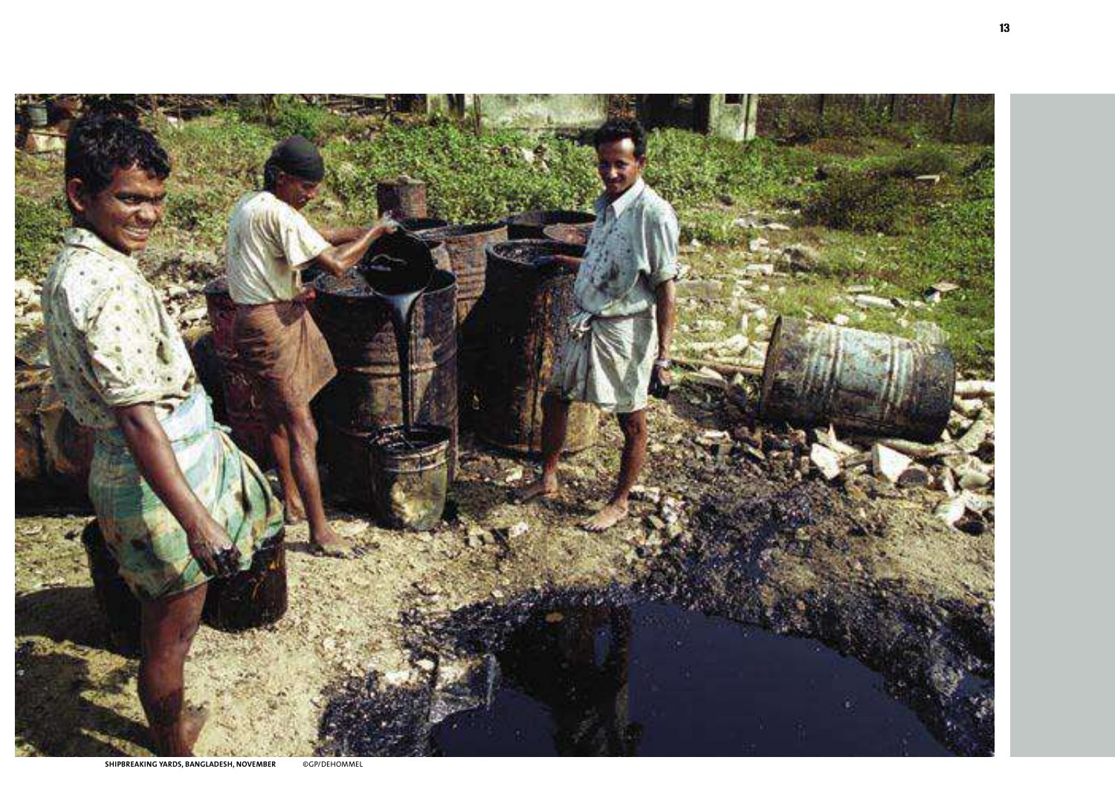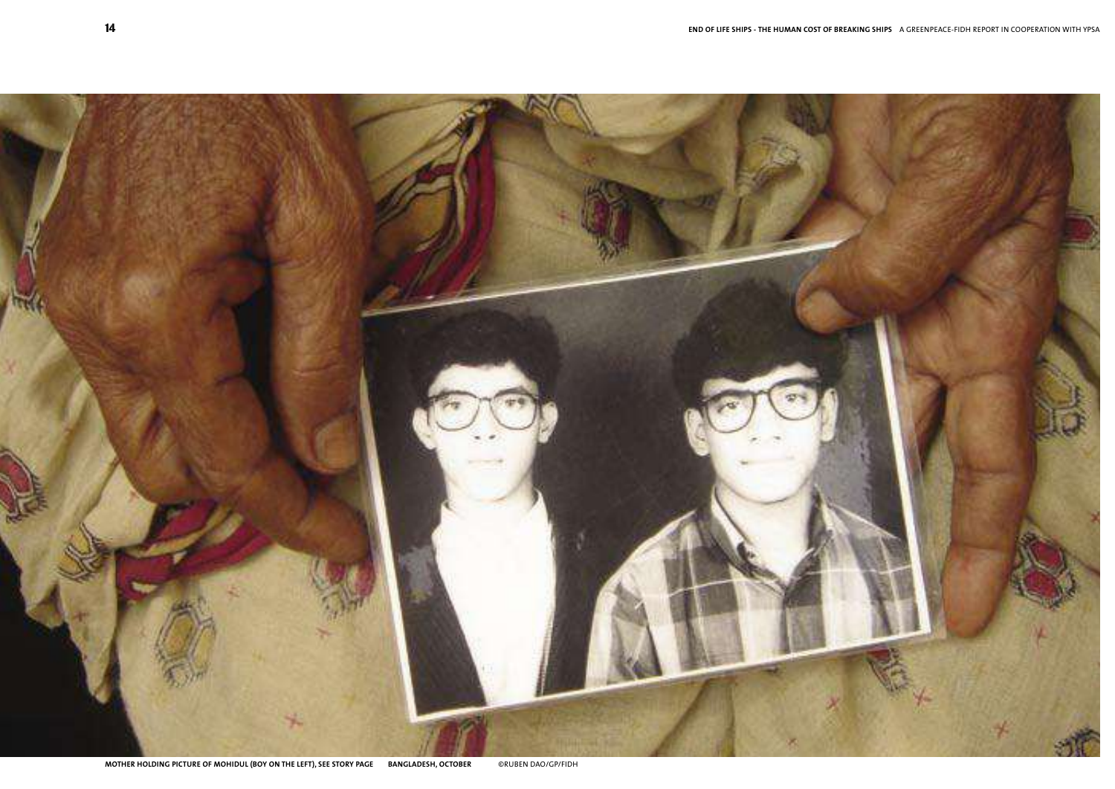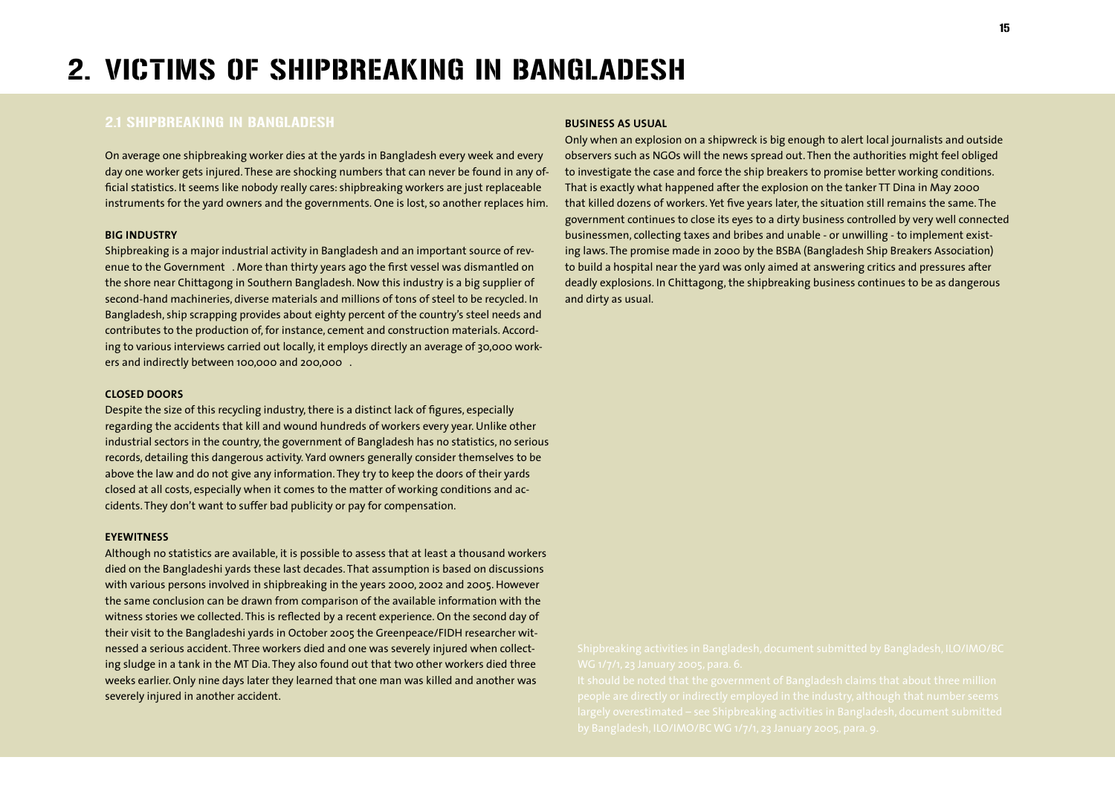# 2. VICTIMS OF SHIPBREAKING IN BANGLADESH

## 2.1 SHIPBREAKING IN BANGLADESH

On average one shipbreaking worker dies at the yards in Bangladesh every week and every day one worker gets injured. These are shocking numbers that can never be found in any official statistics. It seems like nobody really cares: shipbreaking workers are just replaceable instruments for the yard owners and the governments. One is lost, so another replaces him.

#### **BIG INDUSTRY**

Shipbreaking is a major industrial activity in Bangladesh and an important source of revenue to the Government. More than thirty years ago the first vessel was dismantled on the shore near Chittagong in Southern Bangladesh. Now this industry is a big supplier of second-hand machineries, diverse materials and millions of tons of steel to be recycled. In Bangladesh, ship scrapping provides about eighty percent of the country's steel needs and contributes to the production of, for instance, cement and construction materials. According to various interviews carried out locally, it employs directly an average of 30,000 workers and indirectly between 100,000 and 200,000.

## **CLOSED DOORS**

Despite the size of this recycling industry, there is a distinct lack of figures, especially regarding the accidents that kill and wound hundreds of workers every year. Unlike other industrial sectors in the country, the government of Bangladesh has no statistics, no serious records, detailing this dangerous activity. Yard owners generally consider themselves to be above the law and do not give any information. They try to keep the doors of their yards closed at all costs, especially when it comes to the matter of working conditions and accidents. They don't want to suffer bad publicity or pay for compensation.

## **EYEWITNESS**

Although no statistics are available, it is possible to assess that at least a thousand workers died on the Bangladeshi yards these last decades. That assumption is based on discussions with various persons involved in shipbreaking in the years 2000, 2002 and 2005. However the same conclusion can be drawn from comparison of the available information with the witness stories we collected. This is reflected by a recent experience. On the second day of their visit to the Bangladeshi yards in October 2005 the Greenpeace/FIDH researcher witnessed a serious accident. Three workers died and one was severely injured when collecting sludge in a tank in the MT Dia. They also found out that two other workers died three weeks earlier. Only nine days later they learned that one man was killed and another was severely injured in another accident.

#### **BUSINESS AS USUAL**

Only when an explosion on a shipwreck is big enough to alert local journalists and outside observers such as NGOs will the news spread out. Then the authorities might feel obliged to investigate the case and force the ship breakers to promise better working conditions. That is exactly what happened after the explosion on the tanker TT Dina in May 2000 that killed dozens of workers. Yet five years later, the situation still remains the same. The government continues to close its eyes to a dirty business controlled by very well connected businessmen, collecting taxes and bribes and unable - or unwilling - to implement existing laws. The promise made in 2000 by the BSBA (Bangladesh Ship Breakers Association) to build a hospital near the yard was only aimed at answering critics and pressures after deadly explosions. In Chittagong, the shipbreaking business continues to be as dangerous and dirty as usual.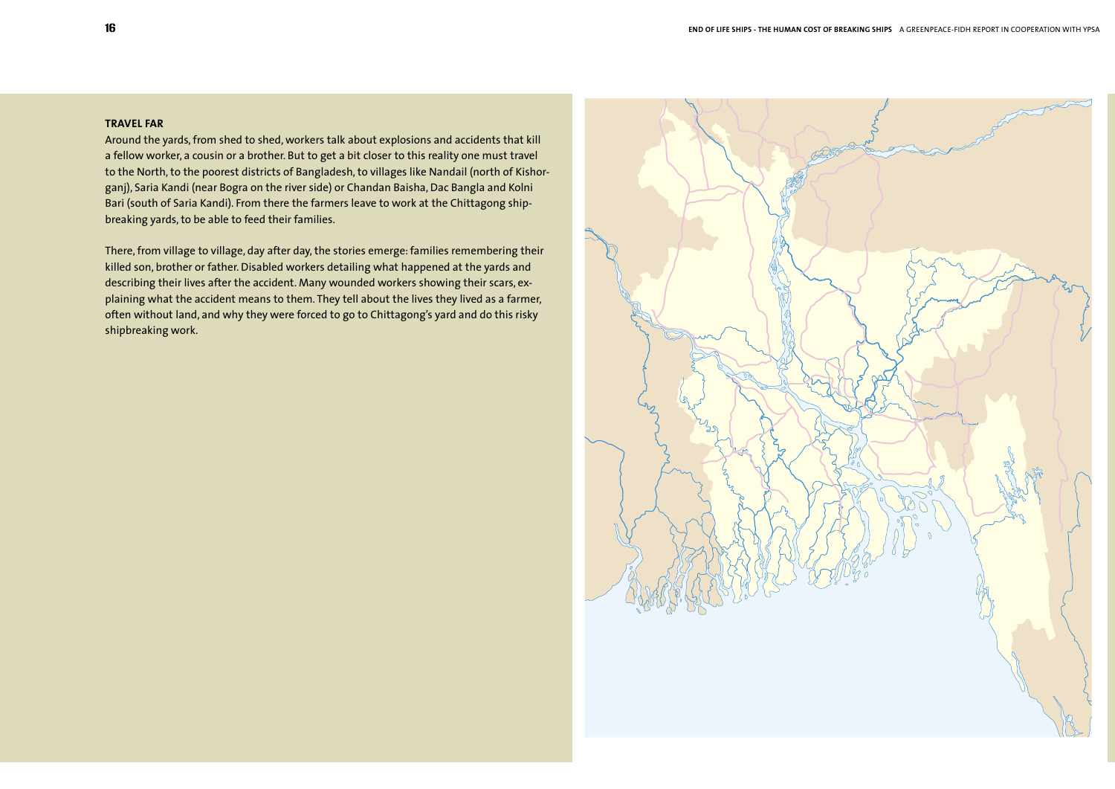## **TRAVEL FAR**

Around the yards, from shed to shed, workers talk about explosions and accidents that kill a fellow worker, a cousin or a brother. But to get a bit closer to this reality one must travel to the North, to the poorest districts of Bangladesh, to villages like Nandail (north of Kishorganj), Saria Kandi (near Bogra on the river side) or Chandan Baisha, Dac Bangla and Kolni Bari (south of Saria Kandi). From there the farmers leave to work at the Chittagong shipbreaking yards, to be able to feed their families.

There, from village to village, day after day, the stories emerge: families remembering their killed son, brother or father. Disabled workers detailing what happened at the yards and describing their lives after the accident. Many wounded workers showing their scars, explaining what the accident means to them. They tell about the lives they lived as a farmer, often without land, and why they were forced to go to Chittagong's yard and do this risky shipbreaking work.